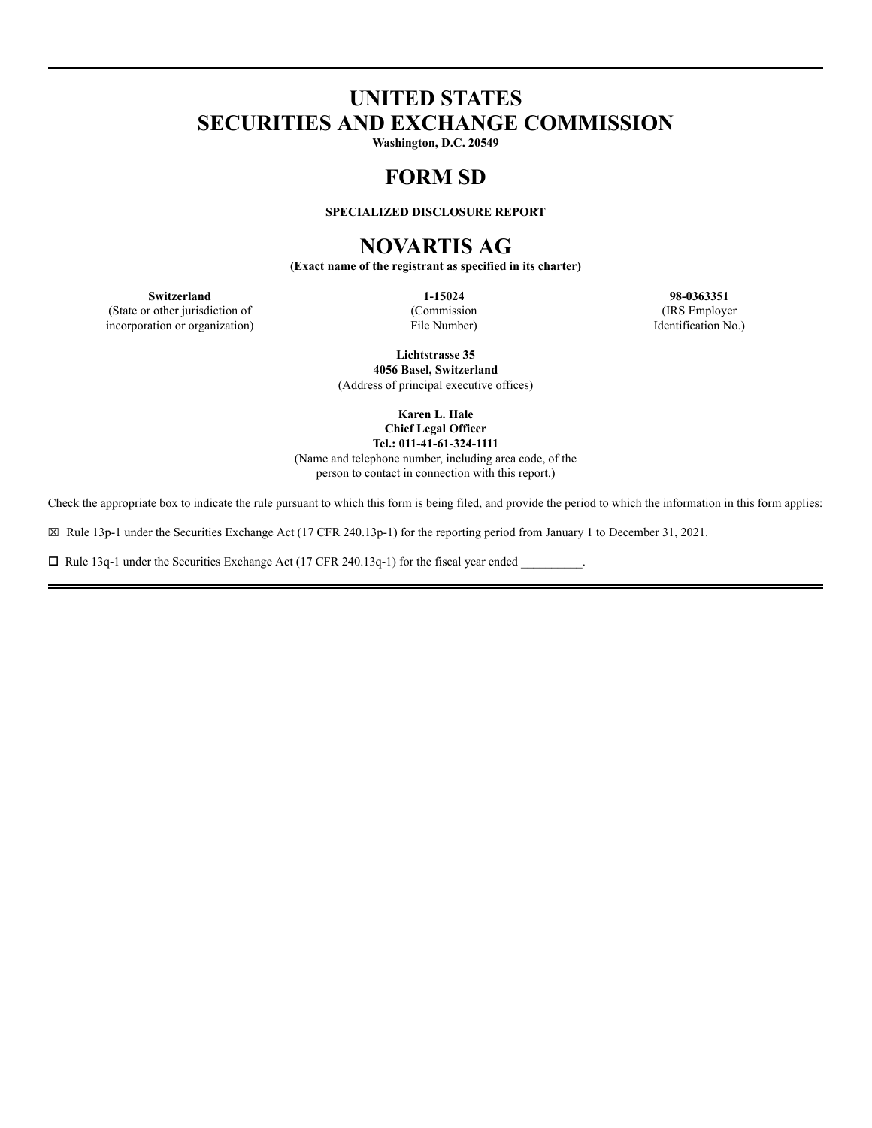# **UNITED STATES SECURITIES AND EXCHANGE COMMISSION**

**Washington, D.C. 20549**

## **FORM SD**

**SPECIALIZED DISCLOSURE REPORT**

## **NOVARTIS AG**

**(Exact name of the registrant as specified in its charter)**

(State or other jurisdiction of (Commission (IRS Employer incorporation or organization) File Number) Identification No.)

**Switzerland 1-15024 98-0363351**

**Lichtstrasse 35 4056 Basel, Switzerland** (Address of principal executive offices)

> **Karen L. Hale Chief Legal Officer Tel.: 011-41-61-324-1111**

(Name and telephone number, including area code, of the person to contact in connection with this report.)

Check the appropriate box to indicate the rule pursuant to which this form is being filed, and provide the period to which the information in this form applies:

⌧ Rule 13p-1 under the Securities Exchange Act (17 CFR 240.13p-1) for the reporting period from January 1 to December 31, 2021.

 $\Box$  Rule 13q-1 under the Securities Exchange Act (17 CFR 240.13q-1) for the fiscal year ended  $\Box$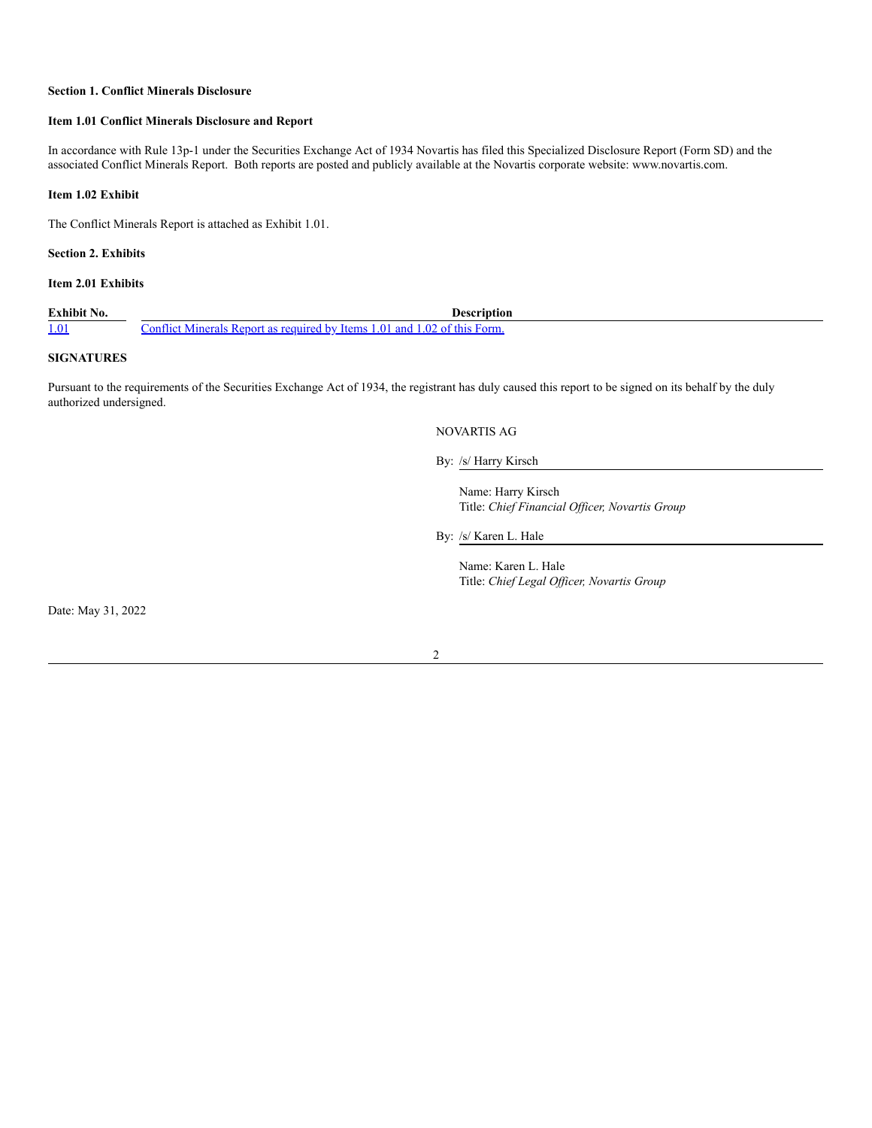#### **Section 1. Conflict Minerals Disclosure**

#### **Item 1.01 Conflict Minerals Disclosure and Report**

In accordance with Rule 13p-1 under the Securities Exchange Act of 1934 Novartis has filed this Specialized Disclosure Report (Form SD) and the associated Conflict Minerals Report. Both reports are posted and publicly available at the Novartis corporate website: www.novartis.com.

#### **Item 1.02 Exhibit**

The Conflict Minerals Report is attached as Exhibit 1.01.

**Section 2. Exhibits**

### **Item 2.01 Exhibits**

**Exhibit No. Description** 1.01 Conflict Minerals Report as required by Items 1.01 and 1.02 of this Form.

#### **SIGNATURES**

Pursuant to the requirements of the Securities Exchange Act of 1934, the registrant has duly caused this report to be signed on its behalf by the duly authorized undersigned.

#### NOVARTIS AG

By: /s/ Harry Kirsch

Name: Harry Kirsch Title: *Chief Financial Of icer, Novartis Group*

By: /s/ Karen L. Hale

Name: Karen L. Hale Title: *Chief Legal Of icer, Novartis Group*

Date: May 31, 2022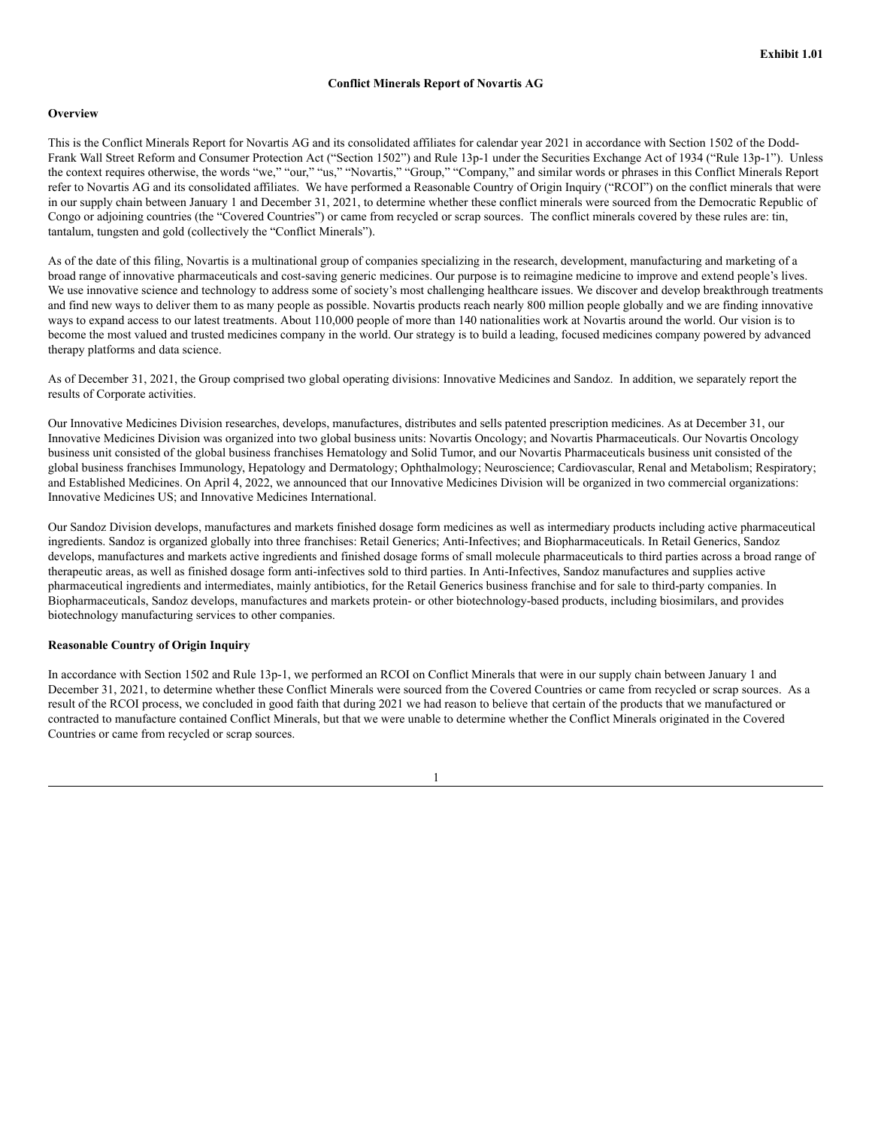#### **Overview**

This is the Conflict Minerals Report for Novartis AG and its consolidated affiliates for calendar year 2021 in accordance with Section 1502 of the Dodd-Frank Wall Street Reform and Consumer Protection Act ("Section 1502") and Rule 13p-1 under the Securities Exchange Act of 1934 ("Rule 13p-1"). Unless the context requires otherwise, the words "we," "our," "us," "Novartis," "Group," "Company," and similar words or phrases in this Conflict Minerals Report refer to Novartis AG and its consolidated affiliates. We have performed a Reasonable Country of Origin Inquiry ("RCOI") on the conflict minerals that were in our supply chain between January 1 and December 31, 2021, to determine whether these conflict minerals were sourced from the Democratic Republic of Congo or adjoining countries (the "Covered Countries") or came from recycled or scrap sources. The conflict minerals covered by these rules are: tin, tantalum, tungsten and gold (collectively the "Conflict Minerals").

As of the date of this filing, Novartis is a multinational group of companies specializing in the research, development, manufacturing and marketing of a broad range of innovative pharmaceuticals and cost-saving generic medicines. Our purpose is to reimagine medicine to improve and extend people's lives. We use innovative science and technology to address some of society's most challenging healthcare issues. We discover and develop breakthrough treatments and find new ways to deliver them to as many people as possible. Novartis products reach nearly 800 million people globally and we are finding innovative ways to expand access to our latest treatments. About 110,000 people of more than 140 nationalities work at Novartis around the world. Our vision is to become the most valued and trusted medicines company in the world. Our strategy is to build a leading, focused medicines company powered by advanced therapy platforms and data science.

As of December 31, 2021, the Group comprised two global operating divisions: Innovative Medicines and Sandoz. In addition, we separately report the results of Corporate activities.

Our Innovative Medicines Division researches, develops, manufactures, distributes and sells patented prescription medicines. As at December 31, our Innovative Medicines Division was organized into two global business units: Novartis Oncology; and Novartis Pharmaceuticals. Our Novartis Oncology business unit consisted of the global business franchises Hematology and Solid Tumor, and our Novartis Pharmaceuticals business unit consisted of the global business franchises Immunology, Hepatology and Dermatology; Ophthalmology; Neuroscience; Cardiovascular, Renal and Metabolism; Respiratory; and Established Medicines. On April 4, 2022, we announced that our Innovative Medicines Division will be organized in two commercial organizations: Innovative Medicines US; and Innovative Medicines International.

Our Sandoz Division develops, manufactures and markets finished dosage form medicines as well as intermediary products including active pharmaceutical ingredients. Sandoz is organized globally into three franchises: Retail Generics; Anti-Infectives; and Biopharmaceuticals. In Retail Generics, Sandoz develops, manufactures and markets active ingredients and finished dosage forms of small molecule pharmaceuticals to third parties across a broad range of therapeutic areas, as well as finished dosage form anti-infectives sold to third parties. In Anti-Infectives, Sandoz manufactures and supplies active pharmaceutical ingredients and intermediates, mainly antibiotics, for the Retail Generics business franchise and for sale to third-party companies. In Biopharmaceuticals, Sandoz develops, manufactures and markets protein- or other biotechnology-based products, including biosimilars, and provides biotechnology manufacturing services to other companies.

#### **Reasonable Country of Origin Inquiry**

In accordance with Section 1502 and Rule 13p-1, we performed an RCOI on Conflict Minerals that were in our supply chain between January 1 and December 31, 2021, to determine whether these Conflict Minerals were sourced from the Covered Countries or came from recycled or scrap sources. As a result of the RCOI process, we concluded in good faith that during 2021 we had reason to believe that certain of the products that we manufactured or contracted to manufacture contained Conflict Minerals, but that we were unable to determine whether the Conflict Minerals originated in the Covered Countries or came from recycled or scrap sources.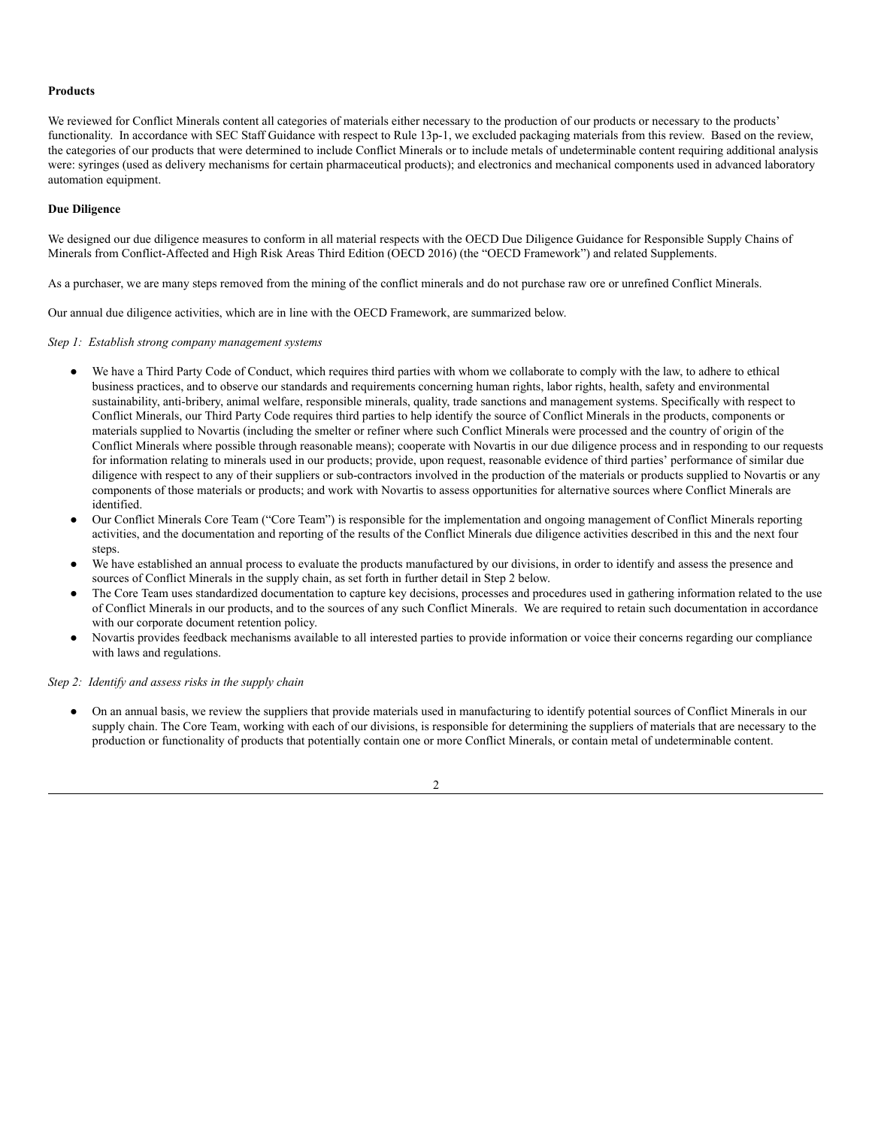#### **Products**

We reviewed for Conflict Minerals content all categories of materials either necessary to the production of our products or necessary to the products' functionality. In accordance with SEC Staff Guidance with respect to Rule 13p-1, we excluded packaging materials from this review. Based on the review, the categories of our products that were determined to include Conflict Minerals or to include metals of undeterminable content requiring additional analysis were: syringes (used as delivery mechanisms for certain pharmaceutical products); and electronics and mechanical components used in advanced laboratory automation equipment.

#### **Due Diligence**

We designed our due diligence measures to conform in all material respects with the OECD Due Diligence Guidance for Responsible Supply Chains of Minerals from Conflict-Affected and High Risk Areas Third Edition (OECD 2016) (the "OECD Framework") and related Supplements.

As a purchaser, we are many steps removed from the mining of the conflict minerals and do not purchase raw ore or unrefined Conflict Minerals.

Our annual due diligence activities, which are in line with the OECD Framework, are summarized below.

*Step 1: Establish strong company management systems*

- We have a Third Party Code of Conduct, which requires third parties with whom we collaborate to comply with the law, to adhere to ethical business practices, and to observe our standards and requirements concerning human rights, labor rights, health, safety and environmental sustainability, anti-bribery, animal welfare, responsible minerals, quality, trade sanctions and management systems. Specifically with respect to Conflict Minerals, our Third Party Code requires third parties to help identify the source of Conflict Minerals in the products, components or materials supplied to Novartis (including the smelter or refiner where such Conflict Minerals were processed and the country of origin of the Conflict Minerals where possible through reasonable means); cooperate with Novartis in our due diligence process and in responding to our requests for information relating to minerals used in our products; provide, upon request, reasonable evidence of third parties' performance of similar due diligence with respect to any of their suppliers or sub-contractors involved in the production of the materials or products supplied to Novartis or any components of those materials or products; and work with Novartis to assess opportunities for alternative sources where Conflict Minerals are identified.
- Our Conflict Minerals Core Team ("Core Team") is responsible for the implementation and ongoing management of Conflict Minerals reporting activities, and the documentation and reporting of the results of the Conflict Minerals due diligence activities described in this and the next four steps.
- We have established an annual process to evaluate the products manufactured by our divisions, in order to identify and assess the presence and sources of Conflict Minerals in the supply chain, as set forth in further detail in Step 2 below.
- The Core Team uses standardized documentation to capture key decisions, processes and procedures used in gathering information related to the use of Conflict Minerals in our products, and to the sources of any such Conflict Minerals. We are required to retain such documentation in accordance with our corporate document retention policy.
- Novartis provides feedback mechanisms available to all interested parties to provide information or voice their concerns regarding our compliance with laws and regulations.

#### *Step 2: Identify and assess risks in the supply chain*

● On an annual basis, we review the suppliers that provide materials used in manufacturing to identify potential sources of Conflict Minerals in our supply chain. The Core Team, working with each of our divisions, is responsible for determining the suppliers of materials that are necessary to the production or functionality of products that potentially contain one or more Conflict Minerals, or contain metal of undeterminable content.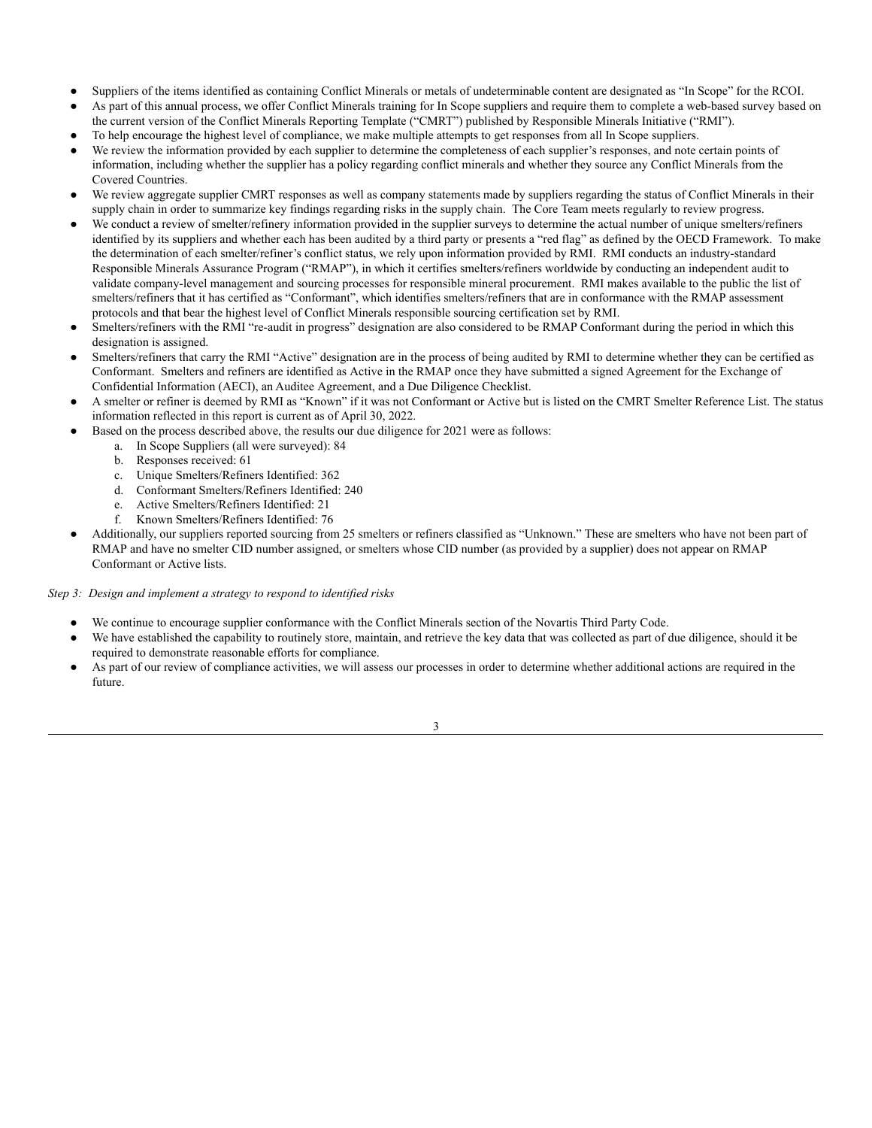- Suppliers of the items identified as containing Conflict Minerals or metals of undeterminable content are designated as "In Scope" for the RCOI.
- As part of this annual process, we offer Conflict Minerals training for In Scope suppliers and require them to complete a web-based survey based on the current version of the Conflict Minerals Reporting Template ("CMRT") published by Responsible Minerals Initiative ("RMI").
- To help encourage the highest level of compliance, we make multiple attempts to get responses from all In Scope suppliers.
- We review the information provided by each supplier to determine the completeness of each supplier's responses, and note certain points of information, including whether the supplier has a policy regarding conflict minerals and whether they source any Conflict Minerals from the Covered Countries.
- We review aggregate supplier CMRT responses as well as company statements made by suppliers regarding the status of Conflict Minerals in their supply chain in order to summarize key findings regarding risks in the supply chain. The Core Team meets regularly to review progress.
- We conduct a review of smelter/refinery information provided in the supplier surveys to determine the actual number of unique smelters/refiners identified by its suppliers and whether each has been audited by a third party or presents a "red flag" as defined by the OECD Framework. To make the determination of each smelter/refiner's conflict status, we rely upon information provided by RMI. RMI conducts an industry-standard Responsible Minerals Assurance Program ("RMAP"), in which it certifies smelters/refiners worldwide by conducting an independent audit to validate company-level management and sourcing processes for responsible mineral procurement. RMI makes available to the public the list of smelters/refiners that it has certified as "Conformant", which identifies smelters/refiners that are in conformance with the RMAP assessment protocols and that bear the highest level of Conflict Minerals responsible sourcing certification set by RMI.
- Smelters/refiners with the RMI "re-audit in progress" designation are also considered to be RMAP Conformant during the period in which this designation is assigned.
- Smelters/refiners that carry the RMI "Active" designation are in the process of being audited by RMI to determine whether they can be certified as Conformant. Smelters and refiners are identified as Active in the RMAP once they have submitted a signed Agreement for the Exchange of Confidential Information (AECI), an Auditee Agreement, and a Due Diligence Checklist.
- A smelter or refiner is deemed by RMI as "Known" if it was not Conformant or Active but is listed on the CMRT Smelter Reference List. The status information reflected in this report is current as of April 30, 2022.
- Based on the process described above, the results our due diligence for 2021 were as follows:
	- a. In Scope Suppliers (all were surveyed): 84
	- b. Responses received: 61
	- c. Unique Smelters/Refiners Identified: 362
	- d. Conformant Smelters/Refiners Identified: 240
	- e. Active Smelters/Refiners Identified: 21
	- f. Known Smelters/Refiners Identified: 76
- Additionally, our suppliers reported sourcing from 25 smelters or refiners classified as "Unknown." These are smelters who have not been part of RMAP and have no smelter CID number assigned, or smelters whose CID number (as provided by a supplier) does not appear on RMAP Conformant or Active lists.

#### *Step 3: Design and implement a strategy to respond to identified risks*

- We continue to encourage supplier conformance with the Conflict Minerals section of the Novartis Third Party Code.
- We have established the capability to routinely store, maintain, and retrieve the key data that was collected as part of due diligence, should it be required to demonstrate reasonable efforts for compliance.
- As part of our review of compliance activities, we will assess our processes in order to determine whether additional actions are required in the future.
	- 3